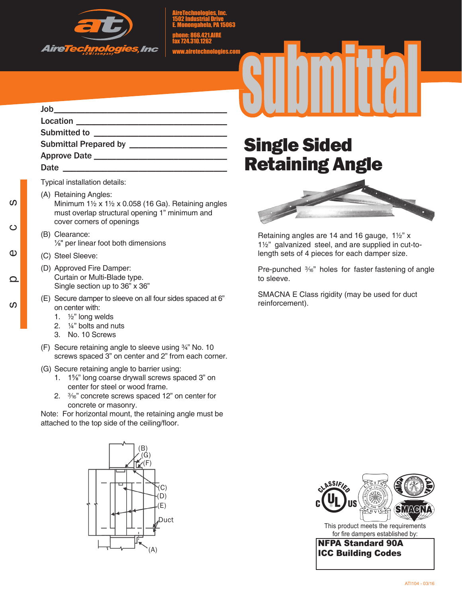

AireTechnologies, Inc. 1502 Industrial Drive E. Monongahela, PA 15063

phone: 866.421.AIRE fax 724.310.1262

www.airetechnologies.com

## Job\_\_\_\_\_\_\_\_\_\_\_\_\_\_\_\_\_\_\_\_\_\_\_\_\_\_\_\_\_\_\_\_\_\_\_\_\_\_\_ Location \_\_\_\_\_ Submitted to \_ Submittal Prepared by \_\_\_\_\_\_\_\_\_\_\_\_\_\_\_\_\_\_\_\_\_\_ Approve Date \_\_\_\_\_\_\_\_\_\_\_\_\_\_\_\_\_\_\_\_\_\_\_\_\_\_\_\_\_\_ Date  $\Box$

Typical installation details:

- (A) Retaining Angles: Minimum  $1\frac{1}{2}$  x  $1\frac{1}{2}$  x 0.058 (16 Ga). Retaining angles must overlap structural opening 1" minimum and cover corners of openings
- (B) Clearance: ⅛" per linear foot both dimensions
- (C) Steel Sleeve:

specs

 $\Omega$ 

ഗ

 $\mathbf 0$ 

ທ

 $\circ$ 

- (D) Approved Fire Damper: Curtain or Multi-Blade type. Single section up to 36" x 36"
- (E) Secure damper to sleeve on all four sides spaced at 6" on center with:
	- 1. ½" long welds
	- 2. ¼" bolts and nuts
	- 3. No. 10 Screws
- (F) Secure retaining angle to sleeve using ¾" No. 10 screws spaced 3" on center and 2" from each corner.
- (G) Secure retaining angle to barrier using:
	- 1. 1⅝" long coarse drywall screws spaced 3" on center for steel or wood frame.
	- 2.  $\frac{3}{16}$ " concrete screws spaced 12" on center for concrete or masonry.

Note: For horizontal mount, the retaining angle must be attached to the top side of the ceiling/floor.



## Single Sided Retaining Angle



Retaining angles are 14 and 16 gauge, 1½" x 1½" galvanized steel, and are supplied in cut-tolength sets of 4 pieces for each damper size.

Pre-punched  $\frac{3}{6}$ " holes for faster fastening of angle to sleeve.

SMACNA E Class rigidity (may be used for duct reinforcement).



NFPA Standard 90A for fire dampers established by:

ICC Building Codes